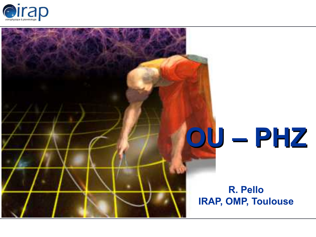

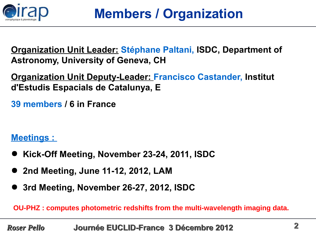

**Organization Unit Leader: Stéphane Paltani, ISDC, Department of Astronomy, University of Geneva, CH**

**Organization Unit Deputy-Leader: Francisco Castander, Institut d'Estudis Espacials de Catalunya, E** 

**39 members / 6 in France** 

**Meetings :** 

- **Kick-Off Meeting, November 23-24, 2011, ISDC**
- **2nd Meeting, June 11-12, 2012, LAM**
- **3rd Meeting, November 26-27, 2012, ISDC**

**OU-PHZ : computes photometric redshifts from the multi-wavelength imaging data.**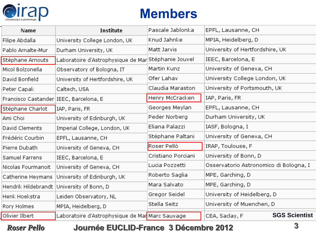

# **Members**

| Name                                   | Institute                                                      | Pascale Jablonka   | EPFL, Lausanne, CH                     |  |
|----------------------------------------|----------------------------------------------------------------|--------------------|----------------------------------------|--|
| Filipe Abdalla                         | University College London, UK                                  | Knud Jahnke        | MPIA, Heidelberg, D                    |  |
| Pablo Arnalte-Mur                      | Durham University, UK                                          | Matt Jarvis        | University of Hertfordshire, UK        |  |
| Stéphane Arnouts                       | Laboratoire d'Astrophysique de Mar Stéphanie Jouvel            |                    | IEEC, Barcelona, E                     |  |
| Micol Bolzonella                       | Observatory of Bologna, IT                                     | Martin Kunz        | University of Geneva, CH               |  |
| David Bonfield                         | University of Hertfordshire, UK                                | Ofer Lahav         | University College London, UK          |  |
| Peter Capak                            | Caltech, USA                                                   | Claudia Maraston   | University of Portsmouth, UK           |  |
| Francisco Castander IEEC, Barcelona, E |                                                                | Henry McCracken    | IAP, Paris, FR                         |  |
| Stéphane Charlot                       | IAP, Paris, FR                                                 | Georges Meylan     | EPFL, Lausanne, CH                     |  |
| Ami Choi                               | University of Edinburgh, UK                                    | Peder Norberg      | Durham University, UK                  |  |
| David Clements                         | Imperial College, London, UK                                   | Eliana Palazzi     | IASF, Bologna, I                       |  |
| Frédéric Courbin                       | EPFL, Lausanne, CH                                             | Stéphane Paltani   | University of Geneva, CH               |  |
| Pierre Dubath                          | University of Geneva, CH                                       | Roser Pellò        | IRAP, Toulouse, F                      |  |
| Samuel Farrens                         | IEEC, Barcelona, E                                             | Cristiano Porciani | University of Bonn, D                  |  |
| Nicolas Fourmanoit                     | University of Geneva, CH                                       | Lucia Pozzetti     | Osservatorio Astronomico di Bologna, I |  |
| Catherine Heymans                      | University of Edinburgh, UK                                    | Roberto Saglia     | MPE, Garching, D                       |  |
| Hendrik Hildebrandt                    | University of Bonn, D                                          | Mara Salvato       | MPE, Garching, D                       |  |
| Henk Hoekstra                          | Leiden Observatory, NL                                         | Gregor Seidel      | University of Heidelberg, D            |  |
| Rory Holmes                            | MPIA, Heidelberg, D                                            | Stella Seitz       | University of Muenchen, D              |  |
| Olivier Ilbert                         | Laboratoire d'Astrophysique de Mar <mark>i</mark> Marc Sauvage |                    | <b>SGS Scientist</b><br>CEA, Saclay, F |  |

#### *Roser Pello* **Journée EUCLID-France 3 Décembre 2012 3**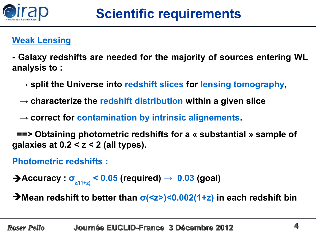

## **Weak Lensing**

**- Galaxy redshifts are needed for the majority of sources entering WL analysis to :** 

- $\rightarrow$  split the Universe into redshift slices for lensing tomography,
- $\rightarrow$  characterize the redshift distribution within a given slice
- → correct for contamination by intrinsic alignements.

 **==> Obtaining photometric redshifts for a « substantial » sample of galaxies at 0.2 < z < 2 (all types).** 

**Photometric redshifts :**

➔**Accuracy : σz/(1+z) < 0.05 (required) → 0.03 (goal)**

➔**Mean redshift to better than σ(<z>)<0.002(1+z) in each redshift bin**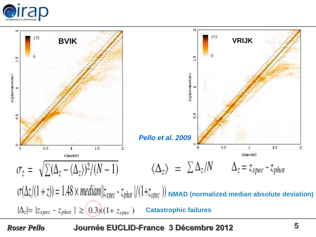



*Roser Pello* **Journée EUCLID-France 3 Décembre 2012 5**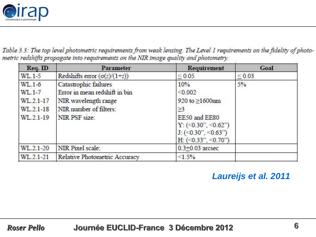

Table 3.3: The top level photometric requirements from weak lensing. The Level 1 requirements on the fidelity of photometric redshifts propagate into requirements on the NIR image quality and photometry.

| $\text{Req.}$ $\text{ID}$ | Parameter                           | Requirement                       | Goal       |
|---------------------------|-------------------------------------|-----------------------------------|------------|
| WL.1-5                    | Redshifts error $(\sigma(z)/(1+z))$ | ${}_{0.05}$                       | ${}< 0.03$ |
| $WL.1-6$                  | Catastrophic failures               | 10%                               | 5%         |
| WL.1-7                    | Error in mean redshift in bin       | < 0.002                           |            |
| WL.2.1-17                 | NIR wavelength range                | 920 to ≥1600nm                    |            |
| WL.2.1-18                 | NIR number of filters:              | $\geq$ 3                          |            |
| WL.2.1-19                 | NIR PSF size:                       | EE50 and EE80                     |            |
|                           |                                     | $Y: (\leq 0.30$ ", $\leq 0.62$ ") |            |
|                           |                                     | $J: (0.30^\circ, 0.63^\circ)$     |            |
|                           |                                     | H: $(\leq 0.33$ ", $\leq 0.70$ ") |            |
| WL.2.1-20                 | NIR Pixel scale:                    | $0.3 + 0.03$ arcsec               |            |
| WL.2.1-21                 | Relative Photometric Accuracy       | $\leq 1.5\%$                      |            |

#### **Laureijs et al. 2011**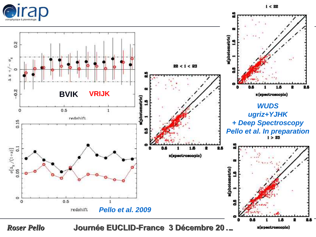



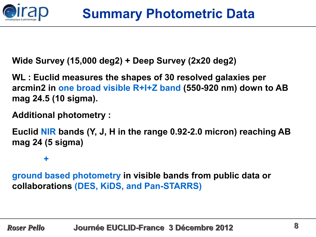

**Wide Survey (15,000 deg2) + Deep Survey (2x20 deg2)**

**WL : Euclid measures the shapes of 30 resolved galaxies per arcmin2 in one broad visible R+I+Z band (550-920 nm) down to AB mag 24.5 (10 sigma).** 

### **Additional photometry :**

**Euclid NIR bands (Y, J, H in the range 0.92-2.0 micron) reaching AB mag 24 (5 sigma)** 

**+**

**ground based photometry in visible bands from public data or collaborations (DES, KiDS, and Pan-STARRS)**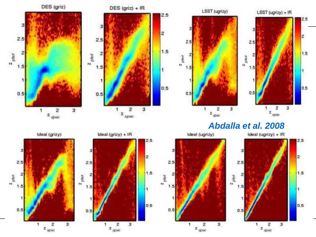

 $2.5$ 

 $\overline{2}$ 

 $1.5$ 

1

0.5

#### **Abdalla et al. 2008**

2

Ideal (ugrizy) + IR

2.5

 $\overline{2}$ 

 $1.5$ 

1

0.5





 $z_{\mu\alpha\nu}$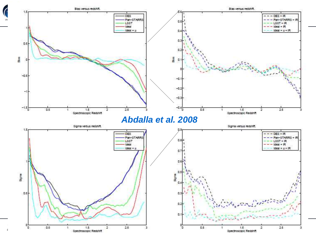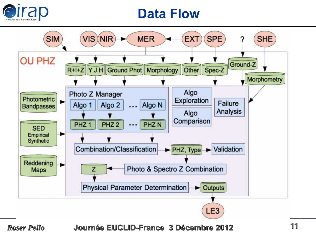

## **Data Flow**



*Roser Pello* **Journée EUCLID-France 3 Décembre 2012 11**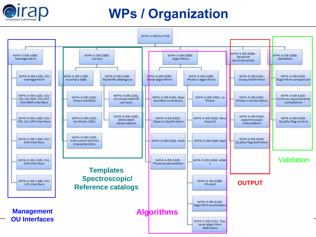

# **WPs / Organization**

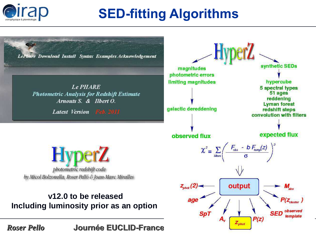

# **SED-fitting Algorithms**

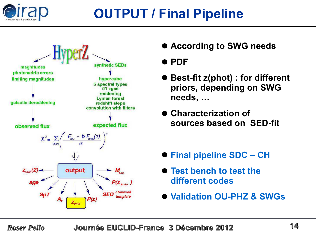

# **OUTPUT / Final Pipeline**



● **According to SWG needs**

### ● **PDF**

- **Best-fit z(phot) : for different priors, depending on SWG needs, …**
- **Characterization of sources based on SED-fit**
- **Final pipeline SDC CH**
- **Test bench to test the different codes**
- **Validation OU-PHZ & SWGs**